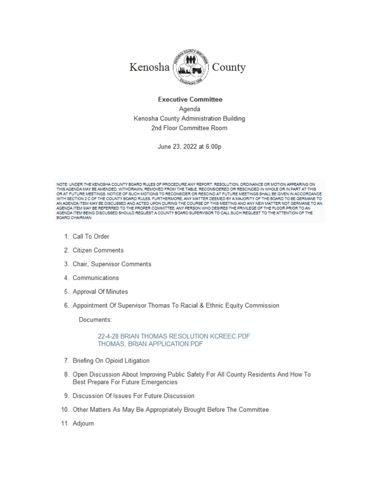

#### **Executive Committee**

Agenda Kenosha County Administration Building 2nd Floor Committee Room

June 23, 2022 at 6:00p

NOTE: UNDER THE KENOSHA COUNTY BOARD RULES OF PROCEDURE ANY REPORT, RESOLUTION, ORDINANCE OR MOTION APPEARING ON THIS AGENDA MAY BE AMENDED, WITHDRAWN, REMOVED FROM THE TABLE, RECONSIDERED OR RESCINDED IN WHOLE OR IN PART AT THIS OR AT FUTURE MEETINGS. NOTICE OF SUCH MOTIONS TO RECONSIDER OR RESCIND AT FUTURE MEETINGS SHALL BE GIVEN IN ACCORDANCE WITH SECTION 2 C OF THE COUNTY BOARD RULES. FURTHERMORE, ANY MATTER DEEMED BY A MAJORITY OF THE BOARD TO BE GERMANE TO AN AGENDA ITEM MAY BE DISCUSSED AND ACTED UPON DURING THE COURSE OF THIS MEETING AND ANY NEW MATTER NOT GERMANE TO AN AGENDA ITEM MAY BE REFERRED TO THE PROPER COMMITTEE. ANY PERSON WHO DESIRES THE PRIVILEGE OF THE FLOOR PRIOR TO AN AGENDA ITEM BEING DISCUSSED SHOULD REQUEST A COUNTY BOARD SUPERVISOR TO CALL SUCH REQUEST TO THE ATTENTION OF THE **BOARD CHAIRMAN** 

- 1. Call To Order
- 2. Citizen Comments
- 3. Chair, Supervisor Comments
- 4. Communications
- 5. Approval Of Minutes
- 6. Appointment Of Supervisor Thomas To Racial & Ethnic Equity Commission

Documents:

22-4-28 BRIAN THOMAS RESOLUTION KCREEC.PDF THOMAS, BRIAN APPLICATION.PDF

- 7. Briefing On Opioid Litigation
- 8. Open Discussion About Improving Public Safety For All County Residents And How To Best Prepare For Future Emergencies
- 9. Discussion Of Issues For Future Discussion
- 10. Other Matters As May Be Appropriately Brought Before The Committee
- 11. Adjourn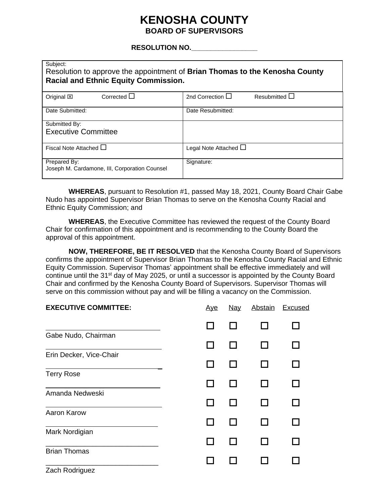# **KENOSHA COUNTY BOARD OF SUPERVISORS**

### **RESOLUTION NO.\_\_\_\_\_\_\_\_\_\_\_\_\_\_\_\_\_**

| Subject:<br>Resolution to approve the appointment of Brian Thomas to the Kenosha County<br><b>Racial and Ethnic Equity Commission.</b> |                                             |  |  |  |
|----------------------------------------------------------------------------------------------------------------------------------------|---------------------------------------------|--|--|--|
| Corrected $\Box$<br>Original $\boxtimes$                                                                                               | 2nd Correction $\Box$<br>Resubmitted $\Box$ |  |  |  |
| Date Submitted:                                                                                                                        | Date Resubmitted:                           |  |  |  |
| Submitted By:                                                                                                                          |                                             |  |  |  |
| <b>Executive Committee</b>                                                                                                             |                                             |  |  |  |
| Fiscal Note Attached $\Box$                                                                                                            | Legal Note Attached $\Box$                  |  |  |  |
| Prepared By:<br>Joseph M. Cardamone, III, Corporation Counsel                                                                          | Signature:                                  |  |  |  |

**WHEREAS**, pursuant to Resolution #1, passed May 18, 2021, County Board Chair Gabe Nudo has appointed Supervisor Brian Thomas to serve on the Kenosha County Racial and Ethnic Equity Commission; and

**WHEREAS**, the Executive Committee has reviewed the request of the County Board Chair for confirmation of this appointment and is recommending to the County Board the approval of this appointment.

**NOW, THEREFORE, BE IT RESOLVED** that the Kenosha County Board of Supervisors confirms the appointment of Supervisor Brian Thomas to the Kenosha County Racial and Ethnic Equity Commission. Supervisor Thomas' appointment shall be effective immediately and will continue until the 31<sup>st</sup> day of May 2025, or until a successor is appointed by the County Board Chair and confirmed by the Kenosha County Board of Supervisors. Supervisor Thomas will serve on this commission without pay and will be filling a vacancy on the Commission.

| <b>EXECUTIVE COMMITTEE:</b> | <u>Aye</u> | <b>Nay</b> | <b>Abstain</b> | <b>Excused</b> |
|-----------------------------|------------|------------|----------------|----------------|
|                             |            |            |                |                |
| Gabe Nudo, Chairman         |            |            |                |                |
| Erin Decker, Vice-Chair     |            |            |                |                |
|                             |            |            |                |                |
| <b>Terry Rose</b>           |            |            |                |                |
| Amanda Nedweski             |            |            |                |                |
|                             |            |            |                |                |
| Aaron Karow                 |            |            |                |                |
|                             |            |            |                |                |
| Mark Nordigian              |            |            |                |                |
| <b>Brian Thomas</b>         |            |            |                |                |
|                             |            |            |                |                |
| Zach Rodriguez              |            |            |                |                |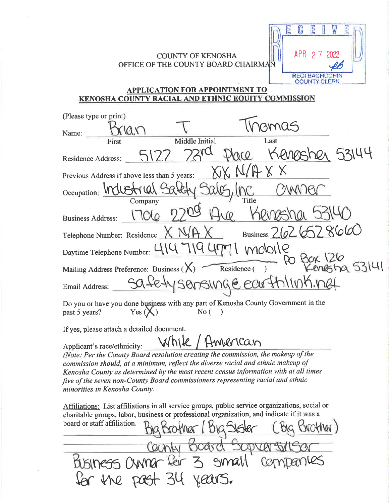### **COUNTY OF KENOSHA** OFFICE OF THE COUNTY BOARD CHAIRMAN

C E

**APR** 

E

2 7 2022

**REGI BACHOCHIN COUNTY CLERK** 

## **APPLICATION FOR APPOINTMENT TO KENOSHA COUNTY RACIAL AND ETHNIC EOUITY COMMISSION**

| (Please type or print)                                                                                              |  |  |  |  |
|---------------------------------------------------------------------------------------------------------------------|--|--|--|--|
| 30095<br>Name:                                                                                                      |  |  |  |  |
| Middle Initial<br>Last<br>First                                                                                     |  |  |  |  |
| Kenesher 53144<br><b>Residence Address:</b>                                                                         |  |  |  |  |
| Previous Address if above less than 5 years:                                                                        |  |  |  |  |
| Occupation: Industrial 9                                                                                            |  |  |  |  |
| Title<br>Company                                                                                                    |  |  |  |  |
| <b>Business Address:</b>                                                                                            |  |  |  |  |
| Business 2626<br>Telephone Number: Residence                                                                        |  |  |  |  |
| mobile<br>Daytime Telephone Number: 414                                                                             |  |  |  |  |
| Mailing Address Preference: Business ( $X$ ) Residence ()                                                           |  |  |  |  |
| safety sensunge earthlink net<br>Email Address:                                                                     |  |  |  |  |
| Do you or have you done business with any part of Kenosha County Government in the<br>past 5 years?<br>No(<br>Yes ( |  |  |  |  |

If yes, please attach a detailed document.

While / American Applicant's race/ethnicity: (Note: Per the County Board resolution creating the commission, the makeup of the commission should, at a minimum, reflect the diverse racial and ethnic makeup of Kenosha County as determined by the most recent census information with at all times five of the seven non-County Board commissioners representing racial and ethnic minorities in Kenosha County.

Affiliations: List affiliations in all service groups, public service organizations, social or charitable groups, labor, business or professional organization, and indicate if it was a board or staff affiliation. noffrer,

County Board Sopran<br>Business Owner for 3 small Co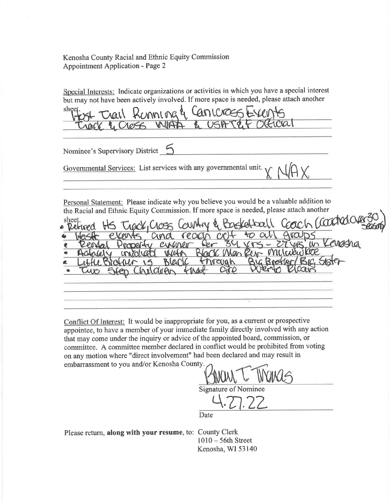Kenosha County Racial and Ethnic Equity Commission **Appointment Application - Page 2** 

Special Interests: Indicate organizations or activities in which you have a special interest but may not have been actively involved. If more space is needed, please attach another

shee Cancross Crail Konning

Nominee's Supervisory District

Governmental Services: List services with any governmental unit.

Personal Statement: Please indicate why you believe you would be a valuable addition to the Racial and Ethnic Equity Commission. If more space is needed, please attach another

(coodrate sheet. Basketball Track, Cross Returned k.  $C C$ Ger 34  $-2746$  $\omega$ erraner € Man KCAC **VYM** WA aren

Conflict Of Interest: It would be inappropriate for you, as a current or prospective appointee, to have a member of your immediate family directly involved with any action that may come under the inquiry or advice of the appointed board, commission, or committee. A committee member declared in conflict would be prohibited from voting on any motion where "direct involvement" had been declared and may result in embarrassment to you and/or Kenosha County.

**Signature of Nominee** 

Date

Please return, along with your resume, to: County Clerk

 $1010 - 56$ th Street Kenosha, WI 53140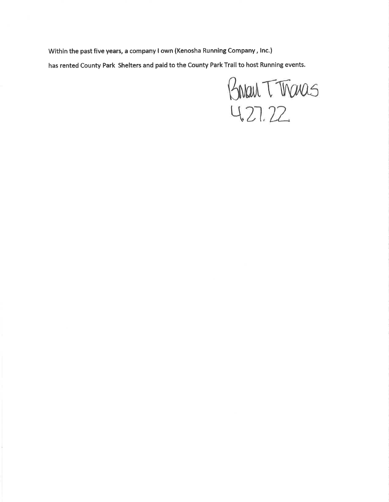Within the past five years, a company I own (Kenosha Running Company, Inc.) has rented County Park Shelters and paid to the County Park Trail to host Running events.

Brian T Tranas